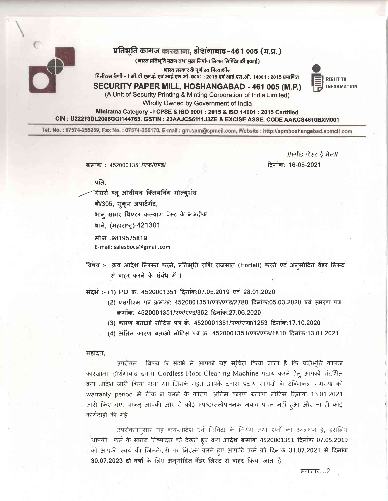

## प्रतिभूति कागज कारखाना, होशंगाबाद-461 005 (म.प्र.)

(भारत प्रतिभूति मुद्रण तथा मुद्रा निर्माण निगम लिमिटेड की इकाई) भारत सरकार के पूर्ण स्वामित्वाधीन

मिनीरत्न श्रेणी – । सी.पी.एस.ई. एवं आई.एस.ओ. 9001 : 2015 एवं आई.एस.ओ. 14001 : 2015 प्रमाणित



SECURITY PAPER MILL, HOSHANGABAD - 461 005 (M.P.) (A Unit of Security Printing & Minting Corporation of India Limited)

Wholly Owned by Government of India

## Miniratna Category - I CPSE & ISO 9001 : 2015 & ISO 14001 : 2015 Certified CIN : U22213DL2006GOI144763, GSTIN : 23AAJCS6111J3ZE & EXCISE ASSE. CODE AAKCS4610BXM001

Tel. No.: 07574-255259, Fax No.: 07574-255170, E-mail: gm.spm@spmcil.com, Website: http://spmhoshangabad.spmcil.com

क्रमांक: 4520001351/एफ/एण्ड/

//स्पीड-पोस्ट-ई-मेल// दिनांक: 16-08-2021

## प्रति.

मेसर्स ब्लू ओशीयन क्लियनिंग सोल्युशंस

बी/305, सुकून अपार्टमेंट,

भान् सागर थिएटर कल्याण वेस्ट के नजदीक

थाने, (महाराष्ट्र)-421301

मो न .9819575819 E-mail: salesbocs@gmail.com

विषय :- क्रय आदेश निरस्त करने, प्रतिभूति राशि राजसात (Forfeit) करने एवं अनुमोदित वेंडर लिस्ट से बाहर करने के संबंध में ।

संदर्भ:- (1) PO क्र. 4520001351 दिनांक:07.05.2019 एवं 28.01.2020

- (2) एसपीएम पत्र क्रमांक: 4520001351/एफ/एण्ड/2780 दिनांक:05.03.2020 एवं स्मरण पत्र क्रमांक: 4520001351/एफ/एण्ड/362 दिनांक:27.06.2020
- (3) कारण बताओ नोटिस पत्र क्रं. 4520001351/एफ/एण्ड/1253 दिनांक:17.10.2020
- (4) अंतिम कारण बताओ नोटिस पत्र क्र. 4520001351/एफ/एण्ड/1810 दिनांक:13.01.2021

## महोदय,

उपरोक्त विषय के संदर्भ में आपको यह सूचित किया जाता है कि प्रतिभूति कागज कारखाना, होशंगाबाद दवारा Cordless Floor Cleaning Machine प्रदाय करने हेत् आपको संदर्भित क्रय आदेश जारी किया गया था। जिसके तहत आपके दवारा प्रदाय सामग्री के टेक्निकल समस्या को warranty period मे ठीक न करने के कारण, अंतिम कारण बताओ नोटिस दिनांक 13.01.2021 जारी किए गए, परन्त् आपकी ओर से कोई स्पष्ट/संतोषजनक जबाव प्राप्त नहीं हुआ और ना ही कोई कार्यवाही की गई।

उपरोक्तान्सार यह क्रय-आदेश एवं निविदा के नियम तथा शर्त्तो का उल्लंघन है, इसलिए आपकी फर्म के खराब निष्पादन को देखते हुए क्रय आदेश क्रमांक 4520001351 दिनांक 07.05.2019 को आपकी स्वयं की ज़िम्मेदारी पर निरस्त करते हुए आपकी फ़र्म को **दिनांक 31.07.2021 से दिनांक** 30.07.2023 दो वर्षों के लिए अनुमोदित वेंडर लिस्ट से बाहर किया जाता है।

लगातार….2